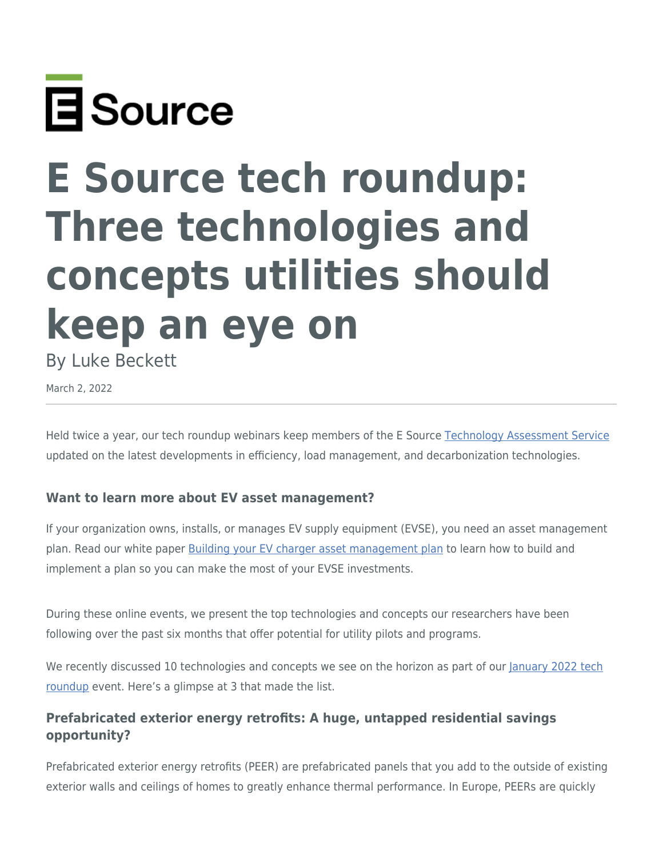

# **E Source tech roundup: Three technologies and concepts utilities should keep an eye on**

By Luke Beckett

March 2, 2022

Held twice a year, our tech roundup webinars keep members of the E Source [Technology Assessment Service](https://www.esource.com/technology-assessment-service) updated on the latest developments in efficiency, load management, and decarbonization technologies.

#### **Want to learn more about EV asset management?**

If your organization owns, installs, or manages EV supply equipment (EVSE), you need an asset management plan. Read our white paper [Building your EV charger asset management plan](https://www.esource.com/436211hldn/building-your-ev-charger-asset-management-plan) to learn how to build and implement a plan so you can make the most of your EVSE investments.

During these online events, we present the top technologies and concepts our researchers have been following over the past six months that offer potential for utility pilots and programs.

We recently discussed 10 technologies and concepts we see on the horizon as part of our [January 2022 tech](https://www.esource.com/136211hlcz/january-2022-tech-roundup) [roundup](https://www.esource.com/136211hlcz/january-2022-tech-roundup) event. Here's a glimpse at 3 that made the list.

## **Prefabricated exterior energy retrofits: A huge, untapped residential savings opportunity?**

Prefabricated exterior energy retrofits (PEER) are prefabricated panels that you add to the outside of existing exterior walls and ceilings of homes to greatly enhance thermal performance. In Europe, PEERs are quickly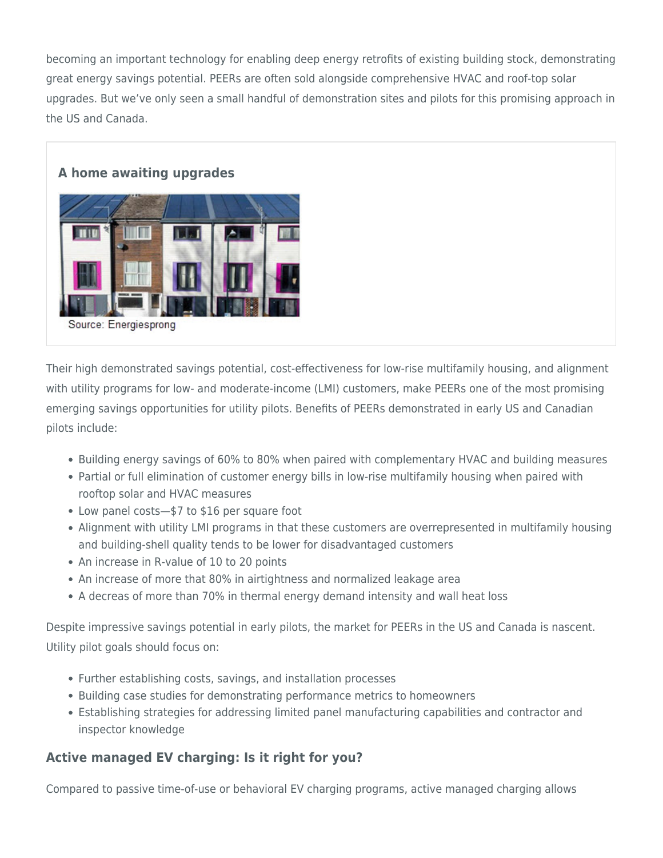becoming an important technology for enabling deep energy retrofits of existing building stock, demonstrating great energy savings potential. PEERs are often sold alongside comprehensive HVAC and roof-top solar upgrades. But we've only seen a small handful of demonstration sites and pilots for this promising approach in the US and Canada.

#### **A home awaiting upgrades**



Their high demonstrated savings potential, cost-effectiveness for low-rise multifamily housing, and alignment with utility programs for low- and moderate-income (LMI) customers, make PEERs one of the most promising emerging savings opportunities for utility pilots. Benefits of PEERs demonstrated in early US and Canadian pilots include:

- Building energy savings of 60% to 80% when paired with complementary HVAC and building measures
- Partial or full elimination of customer energy bills in low-rise multifamily housing when paired with rooftop solar and HVAC measures
- Low panel costs—\$7 to \$16 per square foot
- Alignment with utility LMI programs in that these customers are overrepresented in multifamily housing and building-shell quality tends to be lower for disadvantaged customers
- An increase in R-value of 10 to 20 points
- An increase of more that 80% in airtightness and normalized leakage area
- A decreas of more than 70% in thermal energy demand intensity and wall heat loss

Despite impressive savings potential in early pilots, the market for PEERs in the US and Canada is nascent. Utility pilot goals should focus on:

- Further establishing costs, savings, and installation processes
- Building case studies for demonstrating performance metrics to homeowners
- Establishing strategies for addressing limited panel manufacturing capabilities and contractor and inspector knowledge

## **Active managed EV charging: Is it right for you?**

Compared to passive time-of-use or behavioral EV charging programs, active managed charging allows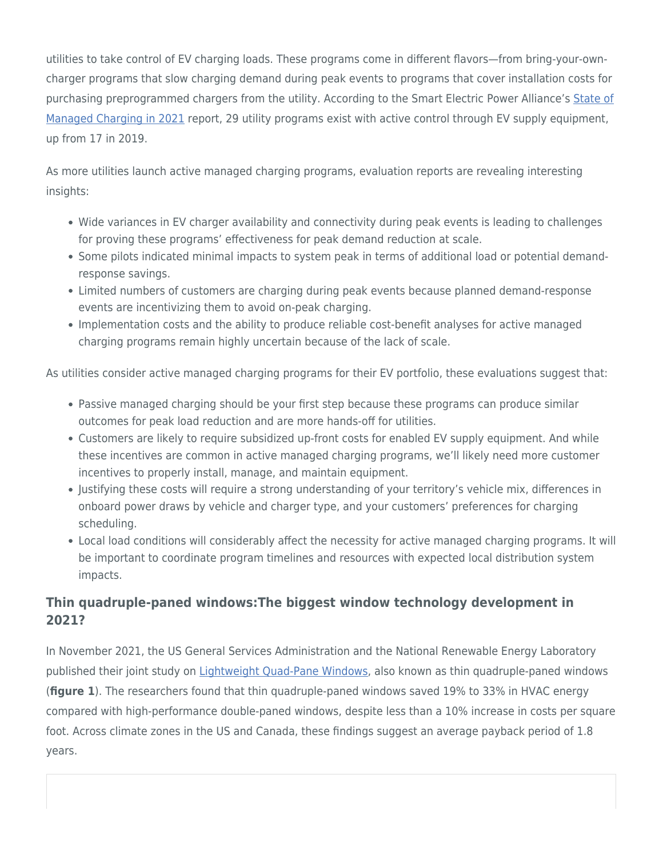utilities to take control of EV charging loads. These programs come in different flavors—from bring-your-owncharger programs that slow charging demand during peak events to programs that cover installation costs for purchasing preprogrammed chargers from the utility. According to the Smart Electric Power Alliance's [State of](https://sepapower.org/resource/the-state-of-managed-charging-in-2021/) [Managed Charging in 2021](https://sepapower.org/resource/the-state-of-managed-charging-in-2021/) report, 29 utility programs exist with active control through EV supply equipment, up from 17 in 2019.

As more utilities launch active managed charging programs, evaluation reports are revealing interesting insights:

- Wide variances in EV charger availability and connectivity during peak events is leading to challenges for proving these programs' effectiveness for peak demand reduction at scale.
- Some pilots indicated minimal impacts to system peak in terms of additional load or potential demandresponse savings.
- Limited numbers of customers are charging during peak events because planned demand-response events are incentivizing them to avoid on-peak charging.
- Implementation costs and the ability to produce reliable cost-benefit analyses for active managed charging programs remain highly uncertain because of the lack of scale.

As utilities consider active managed charging programs for their EV portfolio, these evaluations suggest that:

- Passive managed charging should be your first step because these programs can produce similar outcomes for peak load reduction and are more hands-off for utilities.
- Customers are likely to require subsidized up-front costs for enabled EV supply equipment. And while these incentives are common in active managed charging programs, we'll likely need more customer incentives to properly install, manage, and maintain equipment.
- Justifying these costs will require a strong understanding of your territory's vehicle mix, differences in onboard power draws by vehicle and charger type, and your customers' preferences for charging scheduling.
- Local load conditions will considerably affect the necessity for active managed charging programs. It will be important to coordinate program timelines and resources with expected local distribution system impacts.

## **Thin quadruple-paned windows:The biggest window technology development in 2021?**

In November 2021, the US General Services Administration and the National Renewable Energy Laboratory published their joint study on [Lightweight Quad-Pane Windows,](https://www.gsa.gov/governmentwide-initiatives/climate-action-and-sustainability/emerging-building-technologies/published-findings/building-envelope/lightweight-quadpane-windows) also known as thin quadruple-paned windows (**figure 1**). The researchers found that thin quadruple-paned windows saved 19% to 33% in HVAC energy compared with high-performance double-paned windows, despite less than a 10% increase in costs per square foot. Across climate zones in the US and Canada, these findings suggest an average payback period of 1.8 years.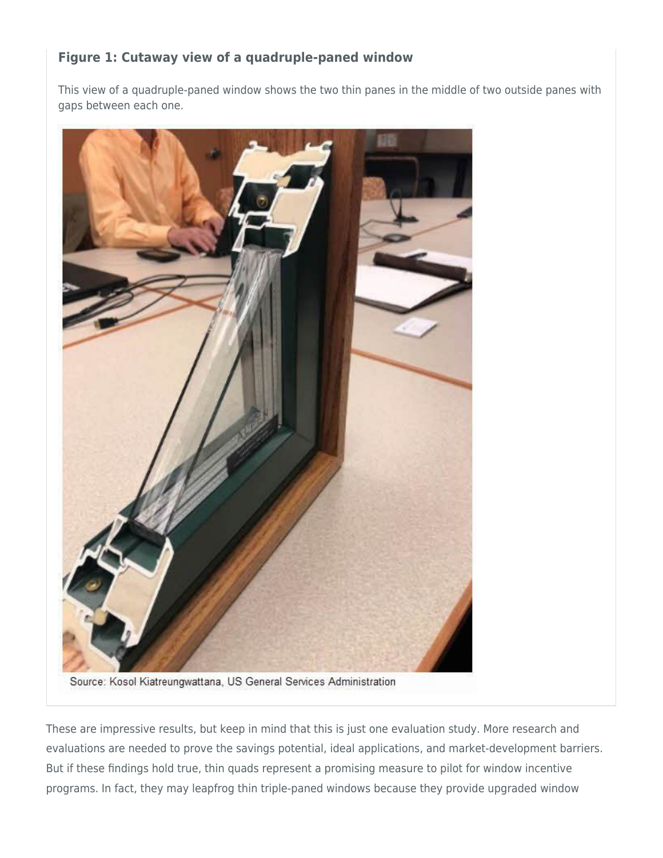## **Figure 1: Cutaway view of a quadruple-paned window**

This view of a quadruple-paned window shows the two thin panes in the middle of two outside panes with gaps between each one.



Source: Kosol Kiatreungwattana, US General Services Administration

These are impressive results, but keep in mind that this is just one evaluation study. More research and evaluations are needed to prove the savings potential, ideal applications, and market-development barriers. But if these findings hold true, thin quads represent a promising measure to pilot for window incentive programs. In fact, they may leapfrog thin triple-paned windows because they provide upgraded window